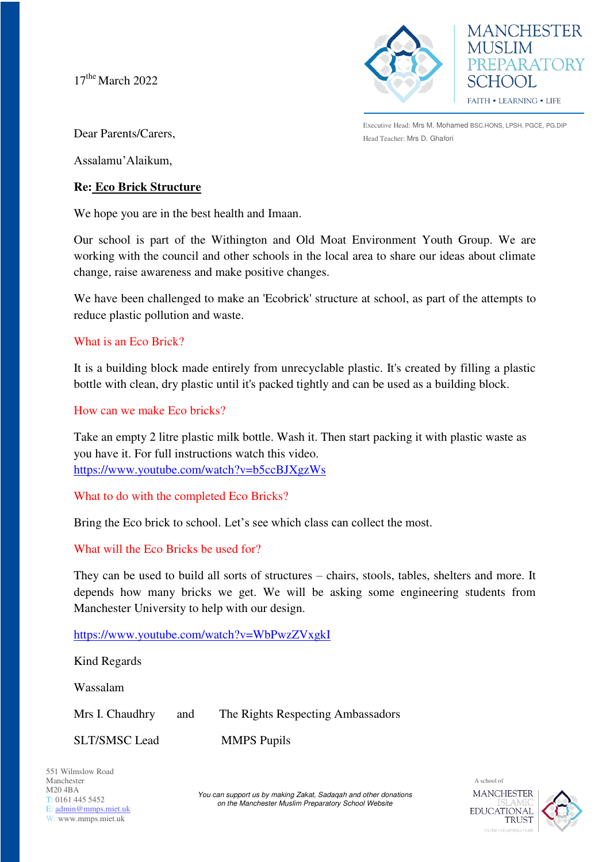$17<sup>the</sup> March 2022$ 



**MANCHESTER MUSLIM** PREPARATORY SCHOOL **FAITH • LEARNING • LIFE** 

Executive Head: Mrs M. Mohamed BSC.HONS, LPSH, PGCE, PG.DIP Head Teacher: Mrs D. Ghafori

Dear Parents/Carers,

Assalamu'Alaikum,

## **Re: Eco Brick Structure**

We hope you are in the best health and Imaan.

Our school is part of the Withington and Old Moat Environment Youth Group. We are working with the council and other schools in the local area to share our ideas about climate change, raise awareness and make positive changes.

We have been challenged to make an 'Ecobrick' structure at school, as part of the attempts to reduce plastic pollution and waste.

## What is an Eco Brick?

It is a building block made entirely from unrecyclable plastic. It's created by filling a plastic bottle with clean, dry plastic until it's packed tightly and can be used as a building block.

### How can we make Eco bricks?

Take an empty 2 litre plastic milk bottle. Wash it. Then start packing it with plastic waste as you have it. For full instructions watch this video. <https://www.youtube.com/watch?v=b5ccBJXgzWs>

# What to do with the completed Eco Bricks?

Bring the Eco brick to school. Let's see which class can collect the most.

# What will the Eco Bricks be used for?

They can be used to build all sorts of structures – chairs, stools, tables, shelters and more. It depends how many bricks we get. We will be asking some engineering students from Manchester University to help with our design.

<https://www.youtube.com/watch?v=WbPwzZVxgkI>

Kind Regards Wassalam Mrs I. Chaudhry and The Rights Respecting Ambassadors SLT/SMSC Lead MMPS Pupils

551 Wilmslow Road Manchester M20 4BA T: 0161 445 5452 E: [admin@mmps.miet.uk](mailto:admin@mmps.miet.uk) W: www.mmps.miet.uk

*You can support us by making Zakat, Sadaqah and other donations on the Manchester Muslim Preparatory School Website*